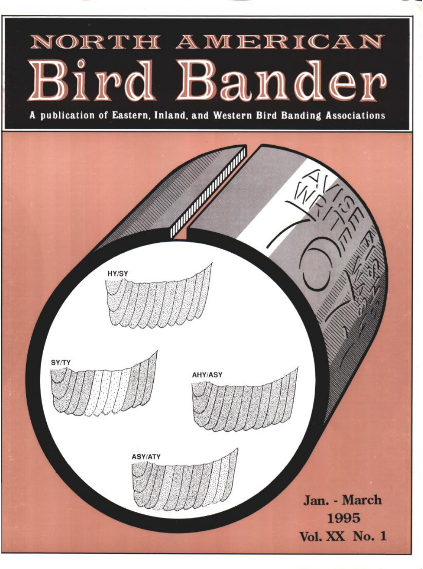# NORTH AMERICAN ird Bander

**A publication of Eastern, Inland, and Western Bird Banding Associations**